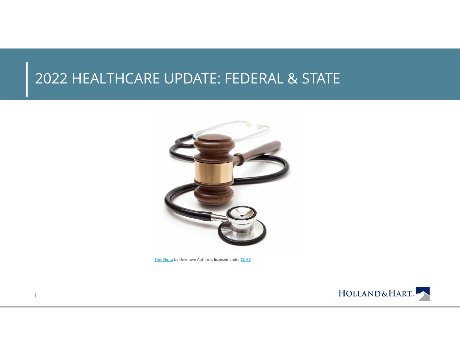#### 2022 HEALTHCARE UPDATE: FEDERAL & STATE



This Photo by Unknown Author is licensed under CC BY

1

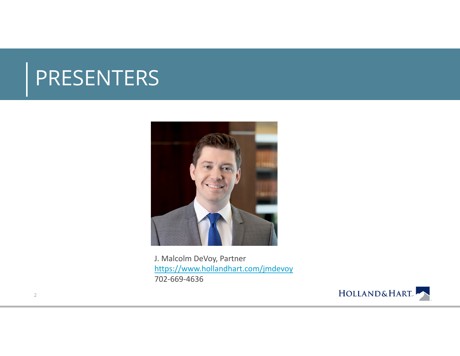## PRESENTERS



J. Malcolm DeVoy, Partner https://www.hollandhart.com/jmdevoy 702-669-4636



2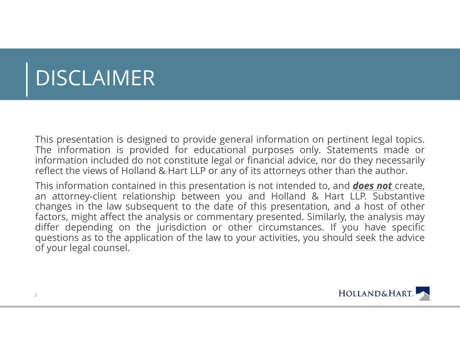# DISCLAIMER

This presentation is designed to provide general information on pertinent legal topics. The information is provided for educational purposes only. Statements made or information included do not constitute legal or financial advice, nor do they necessarily reflect the views of Holland & Hart LLP or any of its attorneys other than the author.

This information contained in this presentation is not intended to, and *does not* create, an attorney-client relationship between you and Holland & Hart LLP. Substantive changes in the law subsequent to the date of this presentation, and <sup>a</sup> host of other factors, might affect the analysis or commentary presented. Similarly, the analysis may differ depending on the jurisdiction or other circumstances. If you have specific questions as to the application of the law to your activities, you should seek the advice of your legal counsel.

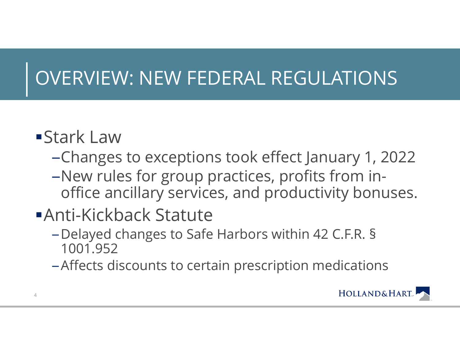## OVERVIEW: NEW FEDERAL REGULATIONS

### Stark Law

- –Changes to exceptions took effect January 1, 2022
- –New rules for group practices, profits from inoffice ancillary services, and productivity bonuses.

### Anti-Kickback Statute

- – Delayed changes to Safe Harbors within 42 C.F.R. § 1001.952
- –Affects discounts to certain prescription medications

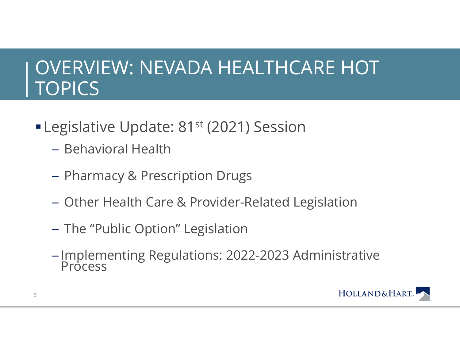### OVERVIEW: NEVADA HEALTHCARE HOT **TOPICS**

- **Legislative Update: 81st (2021) Session** 
	- Behavioral Health
	- Pharmacy & Prescription Drugs
	- Other Health Care & Provider-Related Legislation
	- The "Public Option" Legislation
	- Implementing Regulations: 2022-2023 Administrative Process

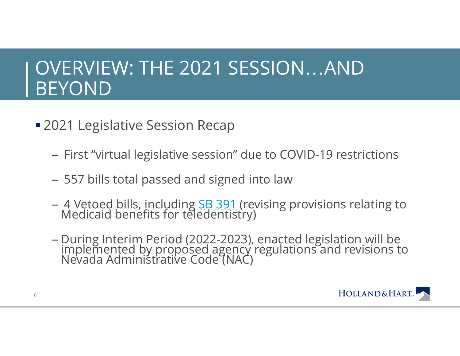### OVERVIEW: THE 2021 SESSION …AND BEYOND

- 2021 Legislative Session Recap
	- First "virtual legislative session" due to COVID-19 restrictions
	- 557 bills total passed and signed into law
	- 4 Vetoed bills, including <u>SB 391</u> (revising provisions relating to<br>Medicaid benefits for teledentistry)
	- During Interim Period (2022-2023), enacted legislation will be implemented by proposed agency regulations and revisions to Nevada Administrative Code (NAC)

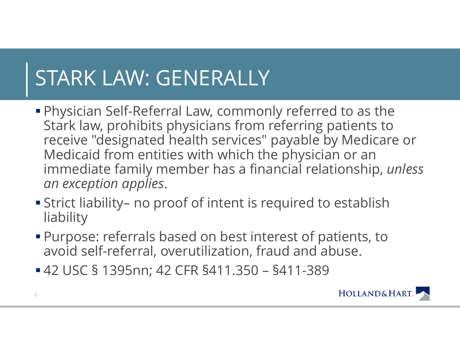# STARK LAW: GENERALLY

- Physician Self-Referral Law, commonly referred to as the Stark law, prohibits physicians from referring patients to receive "designated health services" payable by Medicare or Medicaid from entities with which the physician or an immediate family member has a financial relationship, *unless an exception applies*.
- Strict liability– no proof of intent is required to establish liability
- Purpose: referrals based on best interest of patients, to avoid self-referral, overutilization, fraud and abuse.
- 42 USC § 1395nn; 42 CFR §411.350 §411-389

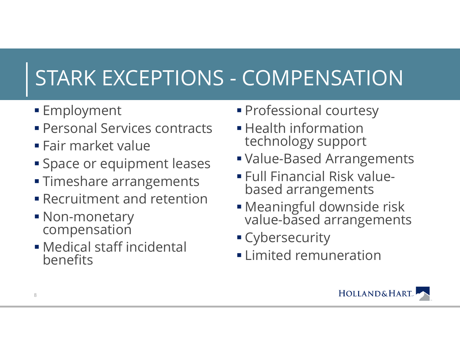# STARK EXCEPTIONS - COMPENSATION

- **Employment**
- Personal Services contracts
- Fair market value
- Space or equipment leases
- **Timeshare arrangements**
- Recruitment and retention
- Non-monetary compensation
- Medical staff incidental benefits
- Professional courtesy
- $\blacksquare$  Health information technology support
- Value-Based Arrangements
- Full Financial Risk valuebased arrangements
- Meaningful downside risk value-based arrangements
- Cybersecurity
- Limited remuneration

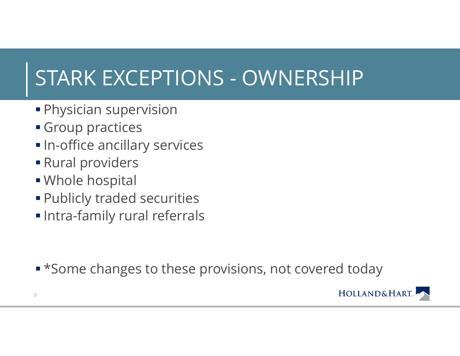# STARK EXCEPTIONS - OWNERSHIP

- Physician supervision
- Group practices
- $\blacksquare$  In-office ancillary services
- Rural providers
- Whole hospital
- Publicly traded securities
- Intra-family rural referrals

**• \*Some changes to these provisions, not covered today** 

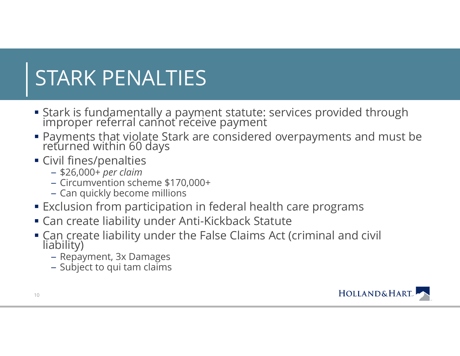# STARK PENALTIES

- Stark is fundamentally a payment statute: services provided through improper referral cannot receive payment
- Payments that violate Stark are considered overpayments and must be returned within 60 days
- Civil fines/penalties
	- \$26,000+ *per claim*
	- Circumvention scheme \$170,000+
	- Can quickly become millions
- Exclusion from participation in federal health care programs
- Can create liability under Anti-Kickback Statute
- Can create liability under the False Claims Act (criminal and civil liability)
	- Repayment, 3x Damages
	- Subject to qui tam claims

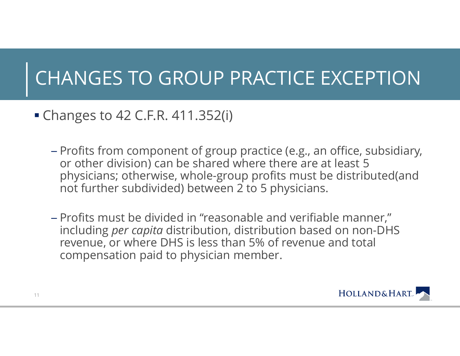## CHANGES TO GROUP PRACTICE EXCEPTION

- Changes to 42 C.F.R. 411.352(i)
	- Profits from component of group practice (e.g., an office, subsidiary, or other division) can be shared where there are at least 5 physicians; otherwise, whole-group profits must be distributed(and not further subdivided) between 2 to 5 physicians.
	- Profits must be divided in "reasonable and verifiable manner," including *per capita* distribution, distribution based on non-DHS revenue, or where DHS is less than 5% of revenue and total compensation paid to physician member.

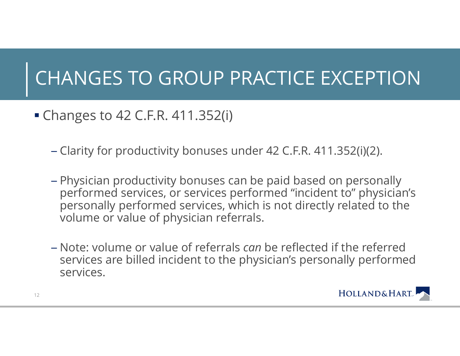## CHANGES TO GROUP PRACTICE EXCEPTION

- Changes to 42 C.F.R. 411.352(i)
	- Clarity for productivity bonuses under 42 C.F.R. 411.352(i)(2).
	- Physician productivity bonuses can be paid based on personally performed services, or services performed "incident to" physician's personally performed services, which is not directly related to the volume or value of physician referrals.
	- Note: volume or value of referrals *can* be reflected if the referred services are billed incident to the physician's personally performed services.

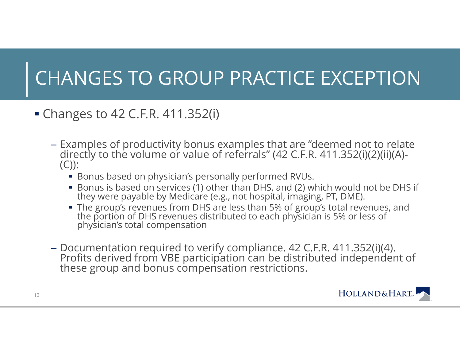## CHANGES TO GROUP PRACTICE EXCEPTION

- Changes to 42 C.F.R. 411.352(i)
	- Examples of productivity bonus examples that are "deemed not to relate Examples of productivity bonus examples that are "deemed not to relate directly to the volume or value of referrals" (42 C.F.R. 411.352(i)(2)(ii)(A)- (C)):
		- Bonus based on physician's personally performed RVUs.
		- Bonus is based on services (1) other than DHS, and (2) which would not be DHS if they were payable by Medicare (e.g., not hospital, imaging, PT, DME).
		- The group's revenues from DHS are less than 5% of group's total revenues, and the portion of DHS revenues distributed to each physician is 5% or less of physician's total compensation
	- Documentation required to verify compliance. 42 C.F.R. 411.352(i)(4). Profits derived from VBE participation can be distributed independent of these group and bonus compensation restrictions.

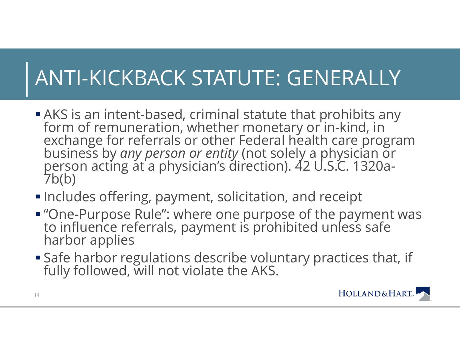# ANTI-KICKBACK STATUTE: GENERALLY

- AKS is an intent-based, criminal statute that prohibits any form of remuneration, whether monetary or in-kind, in<br>exchange for referrals or other Federal health care program<br>business by *any person or entity* (not solely a physician or<br>person acting at a physician's direction). 42
- Includes offering, payment, solicitation, and receipt
- "One-Purpose Rule": where one purpose of the payment was to influence referrals, payment is prohibited unless safe harbor applies
- Safe harbor regulations describe voluntary practices that, if fully followed, will not violate the AKS.

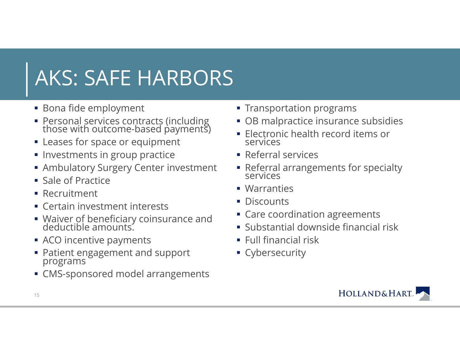# AKS: SAFE HARBORS

- Bona fide employment
- Personal services contracts (including those with outcome-based payments)
- Leases for space or equipment
- $\blacksquare$  Investments in group practice
- Ambulatory Surgery Center investment
- **Sale of Practice**
- **Recruitment**
- Certain investment interests
- Waiver of beneficiary coinsurance and deductible amounts.
- ACO incentive payments
- Patient engagement and support programs
- CMS-sponsored model arrangements
- $\;\overline{\;\;}$  Transportation programs
- OB malpractice insurance subsidies
- Electronic health record items or services
- **Referral services**
- Referral arrangements for specialty services
- Warranties
- **Discounts**
- Care coordination agreements
- Substantial downside financial risk
- $\blacksquare$  Full financial risk
- **Cybersecurity**

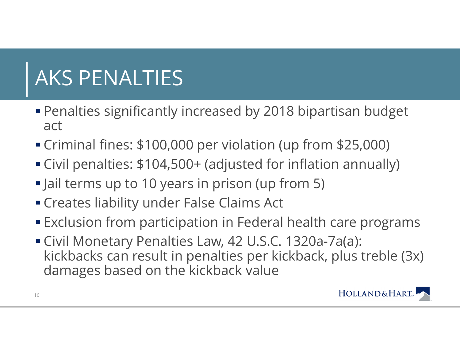# AKS PENALTIES

- Penalties significantly increased by 2018 bipartisan budget act
- Criminal fines: \$100,000 per violation (up from \$25,000)
- Civil penalties: \$104,500+ (adjusted for inflation annually)
- Jail terms up to 10 years in prison (up from 5)
- Creates liability under False Claims Act
- Exclusion from participation in Federal health care programs
- Civil Monetary Penalties Law, 42 U.S.C. 1320a-7a(a): kickbacks can result in penalties per kickback, plus treble (3x) damages based on the kickback value

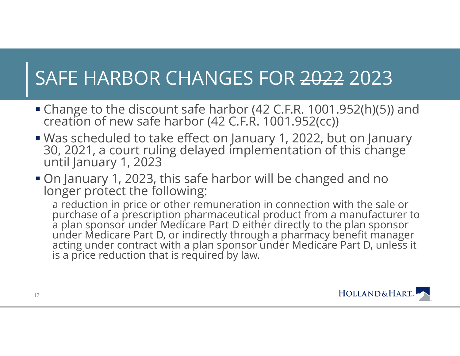## SAFE HARBOR CHANGES FOR 2022 2023

- Change to the discount safe harbor (42 C.F.R. 1001.952(h)(5)) and creation of new safe harbor (42 C.F.R. 1001.952(cc))
- Was scheduled to take effect on January 1, 2022, but on January 30, 2021, a court ruling delayed implementation of this change<br>until January 1, 2023
- On January 1, 2023, this safe harbor will be changed and no longer protect the following:

a reduction in price or other remuneration in connection with the sale or<br>purchase of a prescription pharmaceutical product from a manufacturer to<br>a plan sponsor under Medicare Part D either directly to the plan sponsor<br>un

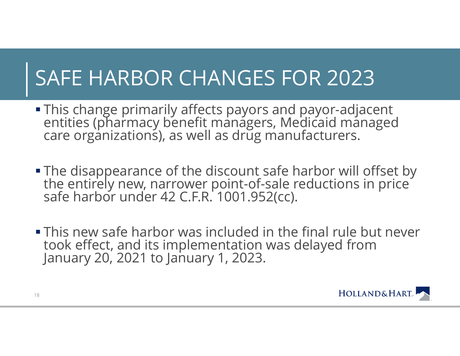# SAFE HARBOR CHANGES FOR 2023

- This change primarily affects payors and payor-adjacent This change primarily affects payors and payor-adjacent<br>entities (pharmacy benefit managers, Medicaid managed<br>care organizations), as well as drug manufacturers.
- The disappearance of the discount safe harbor will offset by the entirely new, narrower point-of-sale reductions in price safe harbor under 42 C.F.R. 1001.952(cc).
- This new safe harbor was included in the final rule but never took effect, and its implementation was delayed from January 20, 2021 to January 1, 2023.

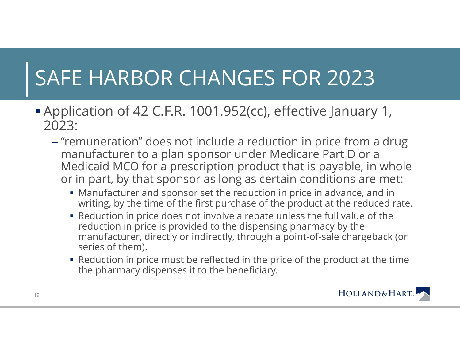# SAFE HARBOR CHANGES FOR 2023

- Application of 42 C.F.R. 1001.952(cc), effective January 1, 2023:
	- "remuneration" does not include a reduction in price from a drug manufacturer to <sup>a</sup> plan sponsor under Medicare Part D or <sup>a</sup> Medicaid MCO for <sup>a</sup> prescription product that is payable, in whole or in part, by that sponsor as long as certain conditions are met:
		- Manufacturer and sponsor set the reduction in price in advance, and in writing, by the time of the first purchase of the product at the reduced rate.
		- Reduction in price does not involve a rebate unless the full value of the reduction in price is provided to the dispensing pharmacy by the manufacturer, directly or indirectly, through a point-of-sale chargeback (or series of them).
		- Reduction in price must be reflected in the price of the product at the time the pharmacy dispenses it to the beneficiary.

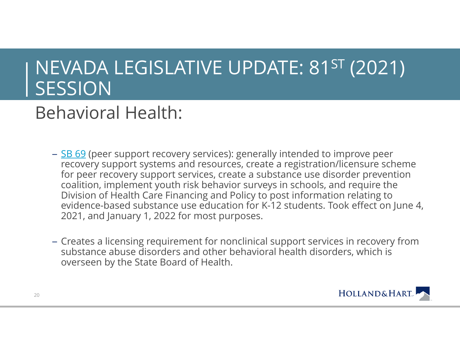### Behavioral Health:

- <u>SB 69</u> (peer support recovery services): generally intended to improve peer recovery support systems and resources, create a registration/licensure scheme for peer recovery support services, create a substance use disorder prevention coalition, implement youth risk behavior surveys in schools, and require the Division of Health Care Financing and Policy to post information relating to evidence-based substance use education for K-12 students. Took effect on June 4, 2021, and January 1, 2022 for most purposes.
- Creates <sup>a</sup> licensing requirement for nonclinical support services in recovery from substance abuse disorders and other behavioral health disorders, which is overseen by the State Board of Health.

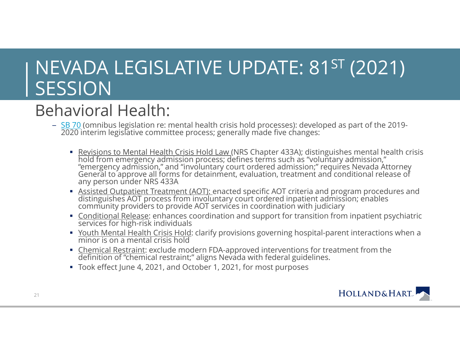#### Behavioral Health:

- <u>SB 70</u> (omnibus legislation re: mental health crisis hold processes): developed as part of the 2019-<br>2020 interim legislative committee process; generally made five changes:
	- Revisions to Mental Health Crisis Hold Law (NRS Chapter 433A); distinguishes mental health crisis<br>hold from emergency admission process; defines terms such as "voluntary admission,"<br>"emergency admission," and "involuntary
	- Assisted Outpatient Treatment (AOT): enacted specific AOT criteria and program procedures and distinguishes AOT process from involuntary court ordered inpatient admission; enables<br>community providers to provide AOT service
	- Conditional Release: enhances coordination and support for transition from inpatient psychiatric services for high-risk individuals
	- <u>Youth Mental Health Crisis Hold</u>: clarify provisions governing hospital-parent interactions when a minor is on a mental crisis hold
	- Chemical Restraint: exclude modern FDA-approved interventions for treatment from the definition of "chemical restraint;" aligns Nevada with federal guidelines.
	- Took effect June 4, 2021, and October 1, 2021, for most purposes

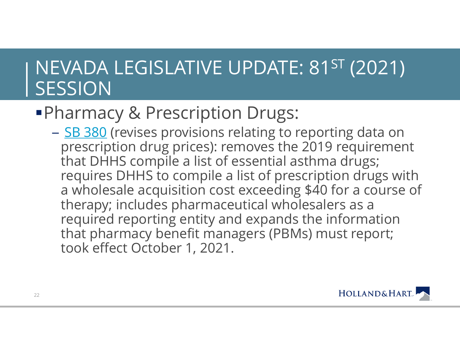### **Pharmacy & Prescription Drugs:**

– <u>SB 380</u> (revises provisions relating to reporting data on prescription drug prices): removes the 2019 requirement that DHHS compile a list of essential asthma drugs; requires DHHS to compile a list of prescription drugs with a wholesale acquisition cost exceeding \$40 for a course of therapy; includes pharmaceutical wholesalers as a required reporting entity and expands the information that pharmacy benefit managers (PBMs) must report; took effect October 1, 2021.

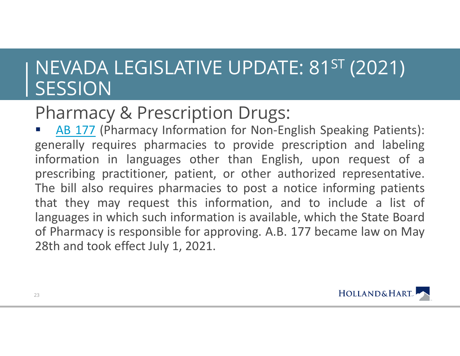#### Pharmacy & Prescription Drugs:

 $\mathcal{L}(\mathcal{L})$ **AB 177 (Pharmacy Information for Non-English Speaking Patients):** generally requires pharmacies to provide prescription and labeling information in languages other than English, upon request of <sup>a</sup> prescribing practitioner, patient, or other authorized representative. The bill also requires pharmacies to post <sup>a</sup> notice informing patients that they may request this information, and to include <sup>a</sup> list of languages in which such information is available, which the State Board of Pharmacy is responsible for approving. A.B. 177 became law on May 28th and took effect July 1, 2021.

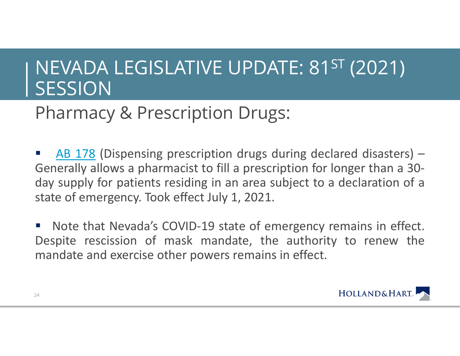#### Pharmacy & Prescription Drugs:

**AB 178 (Dispensing prescription drugs during declared disasters)** -Generally allows <sup>a</sup> pharmacist to fill <sup>a</sup> prescription for longer than <sup>a</sup> 30 day supply for patients residing in an area subject to <sup>a</sup> declaration of <sup>a</sup> state of emergency. Took effect July 1, 2021.

 Note that Nevada's COVID-19 state of emergency remains in effect. Despite rescission of mask mandate, the authority to renew the mandate and exercise other powers remains in effect.

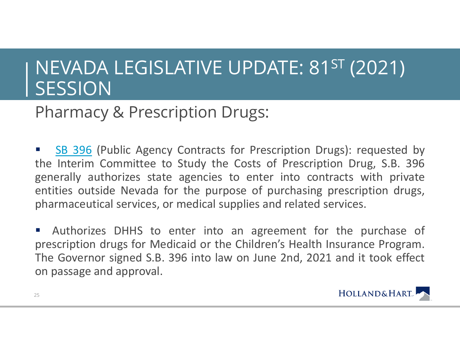#### Pharmacy & Prescription Drugs:

 $\mathcal{L}_{\mathcal{A}}$ **SB 396** (Public Agency Contracts for Prescription Drugs): requested by the Interim Committee to Study the Costs of Prescription Drug, S.B. 396 generally authorizes state agencies to enter into contracts with private entities outside Nevada for the purpose of purchasing prescription drugs, pharmaceutical services, or medical supplies and related services.

 $\mathcal{L}_{\mathcal{A}}$  Authorizes DHHS to enter into an agreement for the purchase of prescription drugs for Medicaid or the Children's Health Insurance Program. The Governor signed S.B. 396 into law on June 2nd, 2021 and it took effect on passage and approval.

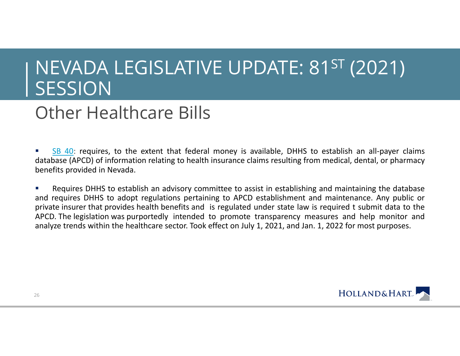#### Other Healthcare Bills

Г SB 40: requires, to the extent that federal money is available, DHHS to establish an all-payer claims database (APCD) of information relating to health insurance claims resulting from medical, dental, or pharmacy benefits provided in Nevada.

Г Requires DHHS to establish an advisory committee to assist in establishing and maintaining the database and requires DHHS to adopt regulations pertaining to APCD establishment and maintenance. Any public or private insurer that provides health benefits and is regulated under state law is required <sup>t</sup> submit data to the APCD. The legislation was purportedly intended to promote transparency measures and help monitor and analyze trends within the healthcare sector. Took effect on July 1, 2021, and Jan. 1, 2022 for most purposes.

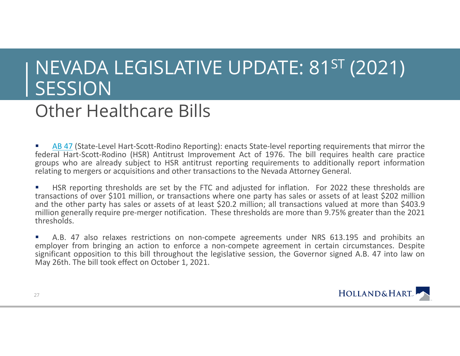#### Other Healthcare Bills

L **AB 47** (State-Level Hart-Scott-Rodino Reporting): enacts State-level reporting requirements that mirror the federal Hart-Scott-Rodino (HSR) Antitrust Improvement Act of 1976. The bill requires health care practice groups who are already subject to HSR antitrust reporting requirements to additionally report information relating to mergers or acquisitions and other transactions to the Nevada Attorney General.

L HSR reporting thresholds are set by the FTC and adjusted for inflation. For 2022 these thresholds are transactions of over \$101 million, or transactions where one party has sales or assets of at least \$202 million and the other party has sales or assets of at least \$20.2 million; all transactions valued at more than \$403.9 million generally require pre-merger notification. These thresholds are more than 9.75% greater than the 2021 thresholds.

г A.B. 47 also relaxes restrictions on non-compete agreements under NRS 613.195 and prohibits an employer from bringing an action to enforce <sup>a</sup> non-compete agreement in certain circumstances. Despite significant opposition to this bill throughout the legislative session, the Governor signed A.B. 47 into law on May 26th. The bill took effect on October 1, 2021.



27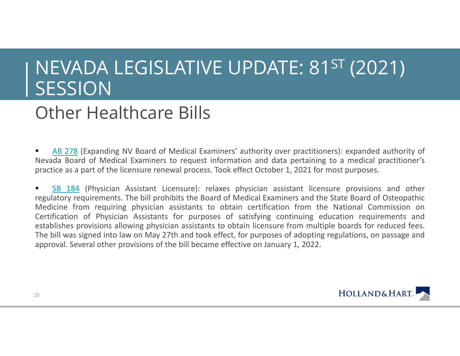#### Other Healthcare Bills

Г **AB 278 (Expanding NV Board of Medical Examiners' authority over practitioners): expanded authority of** Nevada Board of Medical Examiners to request information and data pertaining to <sup>a</sup> medical practitioner's practice as <sup>a</sup> part of the licensure renewal process. Took effect October 1, 2021 for most purposes.

Г **SB 184** (Physician Assistant Licensure): relaxes physician assistant licensure provisions and other regulatory requirements. The bill prohibits the Board of Medical Examiners and the State Board of Osteopathic Medicine from requiring physician assistants to obtain certification from the National Commission on Certification of Physician Assistants for purposes of satisfying continuing education requirements and establishes provisions allowing physician assistants to obtain licensure from multiple boards for reduced fees. The bill was signed into law on May 27th and took effect, for purposes of adopting regulations, on passage and approval. Several other provisions of the bill became effective on January 1, 2022.

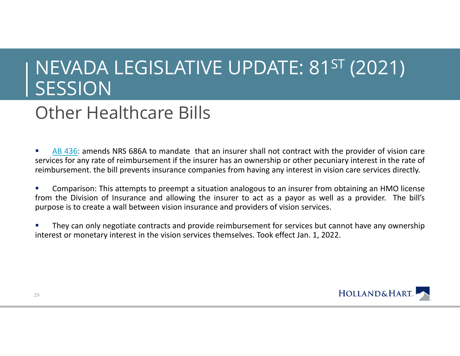#### Other Healthcare Bills

Г AB 436: amends NRS 686A to mandate that an insurer shall not contract with the provider of vision care services for any rate of reimbursement if the insurer has an ownership or other pecuniary interest in the rate of reimbursement. the bill prevents insurance companies from having any interest in vision care services directly.

Г Comparison: This attempts to preempt <sup>a</sup> situation analogous to an insurer from obtaining an HMO license from the Division of Insurance and allowing the insurer to act as <sup>a</sup> payor as well as <sup>a</sup> provider. The bill's purpose is to create <sup>a</sup> wall between vision insurance and providers of vision services.

Г They can only negotiate contracts and provide reimbursement for services but cannot have any ownership interest or monetary interest in the vision services themselves. Took effect Jan. 1, 2022.

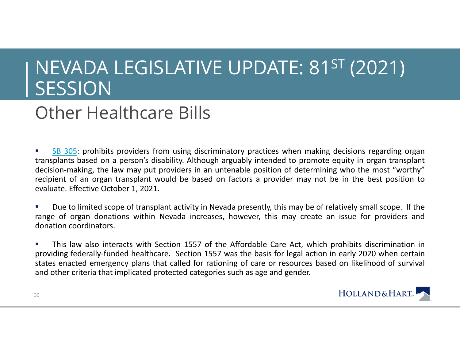#### Other Healthcare Bills

Г SB 305: prohibits providers from using discriminatory practices when making decisions regarding organ transplants based on <sup>a</sup> person's disability. Although arguably intended to promote equity in organ transplant decision-making, the law may put providers in an untenable position of determining who the most "worthy" recipient of an organ transplant would be based on factors <sup>a</sup> provider may not be in the best position to evaluate. Effective October 1, 2021.

Г Due to limited scope of transplant activity in Nevada presently, this may be of relatively small scope. If the range of organ donations within Nevada increases, however, this may create an issue for providers and donation coordinators.

Г This law also interacts with Section 1557 of the Affordable Care Act, which prohibits discrimination in providing federally-funded healthcare. Section 1557 was the basis for legal action in early 2020 when certain states enacted emergency plans that called for rationing of care or resources based on likelihood of survival and other criteria that implicated protected categories such as age and gender.



30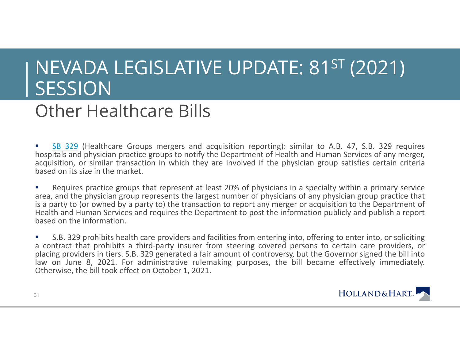#### Other Healthcare Bills

L **SB 329** (Healthcare Groups mergers and acquisition reporting): similar to A.B. 47, S.B. 329 requires hospitals and physician practice groups to notify the Department of Health and Human Services of any merger, acquisition, or similar transaction in which they are involved if the physician group satisfies certain criteria based on its size in the market.

L Requires practice groups that represent at least 20% of physicians in <sup>a</sup> specialty within <sup>a</sup> primary service area, and the physician group represents the largest number of physicians of any physician group practice that is <sup>a</sup> party to (or owned by <sup>a</sup> party to) the transaction to report any merger or acquisition to the Department of Health and Human Services and requires the Department to post the information publicly and publish <sup>a</sup> report based on the information.

г S.B. 329 prohibits health care providers and facilities from entering into, offering to enter into, or soliciting <sup>a</sup> contract that prohibits <sup>a</sup> third-party insurer from steering covered persons to certain care providers, or placing providers in tiers. S.B. 329 generated <sup>a</sup> fair amount of controversy, but the Governor signed the bill into law on June 8, 2021. For administrative rulemaking purposes, the bill became effectively immediately. Otherwise, the bill took effect on October 1, 2021.



31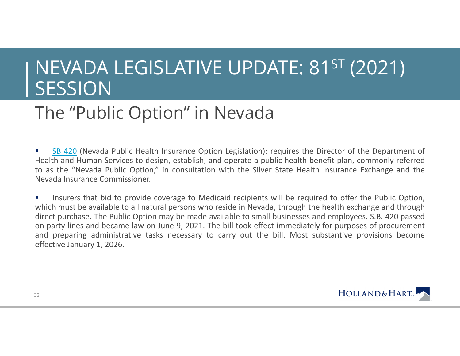### The "Public Option" in Nevada

Г **SB 420** (Nevada Public Health Insurance Option Legislation): requires the Director of the Department of Health and Human Services to design, establish, and operate <sup>a</sup> public health benefit plan, commonly referred to as the "Nevada Public Option," in consultation with the Silver State Health Insurance Exchange and the Nevada Insurance Commissioner.

 $\mathcal{L}_{\mathcal{A}}$  Insurers that bid to provide coverage to Medicaid recipients will be required to offer the Public Option, which must be available to all natural persons who reside in Nevada, through the health exchange and through direct purchase. The Public Option may be made available to small businesses and employees. S.B. 420 passed on party lines and became law on June 9, 2021. The bill took effect immediately for purposes of procurement and preparing administrative tasks necessary to carry out the bill. Most substantive provisions become effective January 1, 2026.

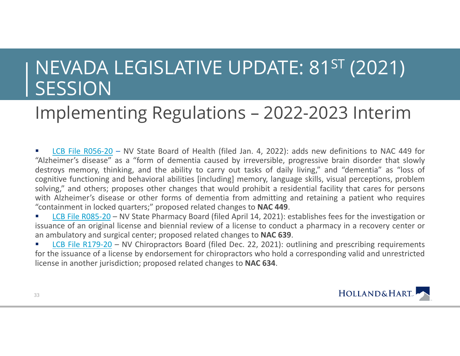### Implementing Regulations – 2022-2023 Interim

Г **LCB File R056-20** – NV State Board of Health (filed Jan. 4, 2022): adds new definitions to NAC 449 for "Alzheimer's disease" as <sup>a</sup> "form of dementia caused by irreversible, progressive brain disorder that slowly destroys memory, thinking, and the ability to carry out tasks of daily living," and "dementia" as "loss of cognitive functioning and behavioral abilities [including] memory, language skills, visual perceptions, problem solving," and others; proposes other changes that would prohibit <sup>a</sup> residential facility that cares for persons with Alzheimer's disease or other forms of dementia from admitting and retaining a patient who requires "containment in locked quarters;" proposed related changes to **NAC 449**.

г ■ LCB File R085-20 – NV State Pharmacy Board (filed April 14, 2021): establishes fees for the investigation or issuance of an original license and biennial review of <sup>a</sup> license to conduct <sup>a</sup> pharmacy in <sup>a</sup> recovery center or an ambulatory and surgical center; proposed related changes to **NAC 639**.

Г **LCB File R179-20** – NV Chiropractors Board (filed Dec. 22, 2021): outlining and prescribing requirements for the issuance of <sup>a</sup> license by endorsement for chiropractors who hold <sup>a</sup> corresponding valid and unrestricted license in another jurisdiction; proposed related changes to **NAC 634**.

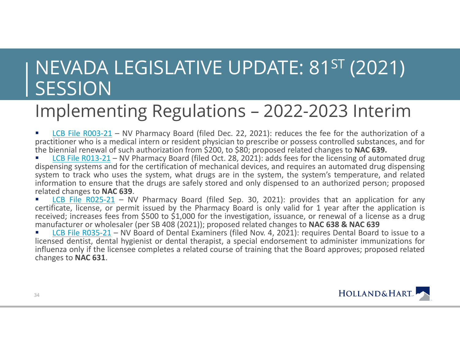#### Implementing Regulations – 2022-2023 Interim

Г **LCB File R003-21** – NV Pharmacy Board (filed Dec. 22, 2021): reduces the fee for the authorization of a practitioner who is <sup>a</sup> medical intern or resident physician to prescribe or possess controlled substances, and for the biennial renewal of such authorization from \$200, to \$80; proposed related changes to **NAC 639.**

Г **LCB File R013-21** – NV Pharmacy Board (filed Oct. 28, 2021): adds fees for the licensing of automated drug dispensing systems and for the certification of mechanical devices, and requires an automated drug dispensing system to track who uses the system, what drugs are in the system, the system's temperature, and related information to ensure that the drugs are safely stored and only dispensed to an authorized person; proposed related changes to **NAC 639**.

Г **LCB File R025-21** – NV Pharmacy Board (filed Sep. 30, 2021): provides that an application for any certificate, license, or permit issued by the Pharmacy Board is only valid for 1 year after the application is received; increases fees from \$500 to \$1,000 for the investigation, issuance, or renewal of <sup>a</sup> license as <sup>a</sup> drug manufacturer or wholesaler (per SB 408 (2021)); proposed related changes to **NAC 638 & NAC 639**

L ■ LCB File R035-21 – NV Board of Dental Examiners (filed Nov. 4, 2021): requires Dental Board to issue to a licensed dentist, dental hygienist or dental therapist, <sup>a</sup> special endorsement to administer immunizations for influenza only if the licensee completes <sup>a</sup> related course of training that the Board approves; proposed related changes to **NAC 631**.



34